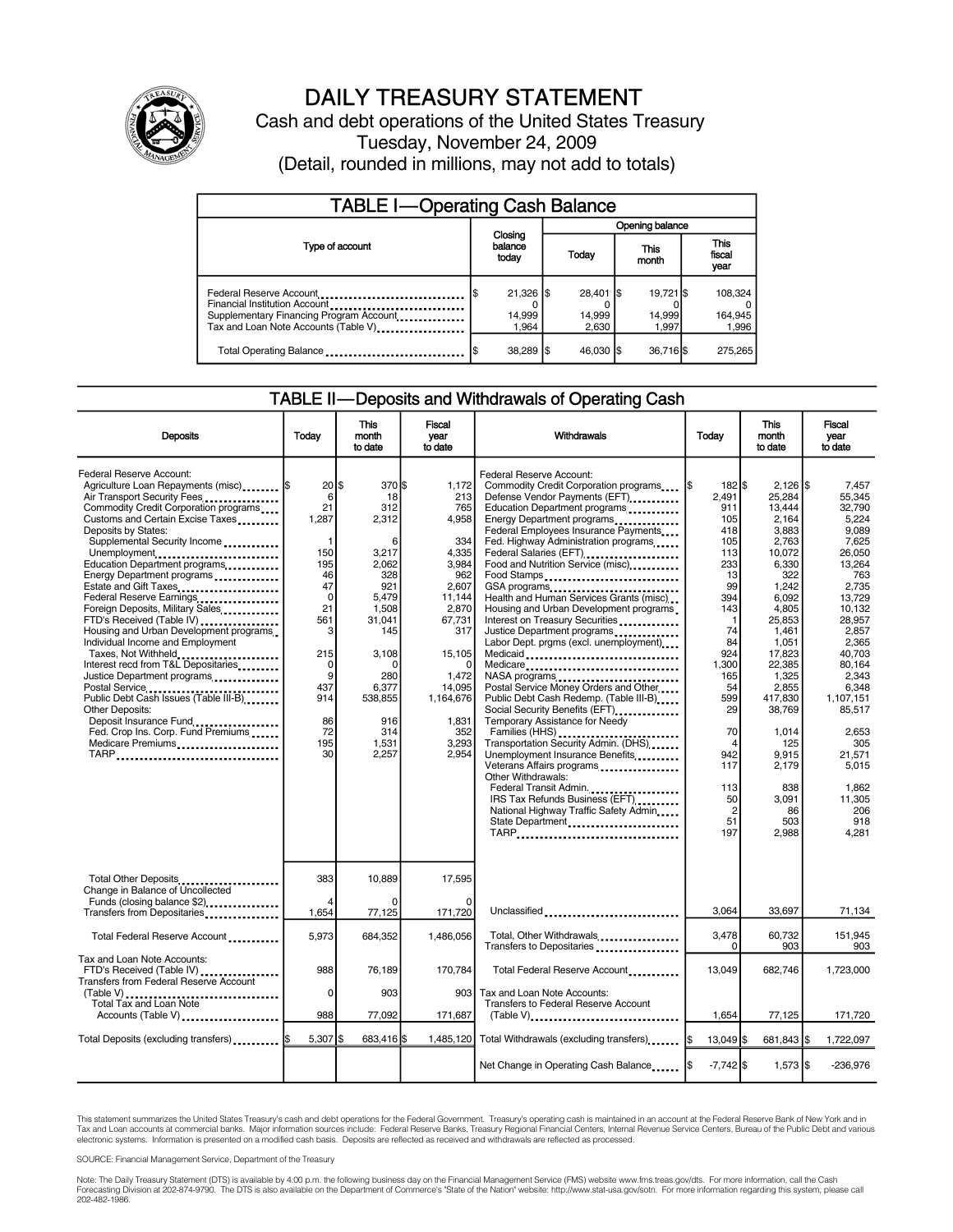

### DAILY TREASURY STATEMENT

Cash and debt operations of the United States Treasury Tuesday, November 24, 2009 (Detail, rounded in millions, may not add to totals)

| <b>TABLE I-Operating Cash Balance</b>                                                                                                       |                                |                               |                              |                               |  |  |  |
|---------------------------------------------------------------------------------------------------------------------------------------------|--------------------------------|-------------------------------|------------------------------|-------------------------------|--|--|--|
|                                                                                                                                             |                                | Opening balance               |                              |                               |  |  |  |
| Type of account                                                                                                                             | Closing<br>balance<br>today    | Today                         | This<br>month                | <b>This</b><br>fiscal<br>year |  |  |  |
| Federal Reserve Account<br>Financial Institution Account<br>Supplementary Financing Program Account<br>Tax and Loan Note Accounts (Table V) | $21,326$ \$<br>14,999<br>1.964 | $28.401$ S<br>14,999<br>2.630 | 19.721 \$<br>14,999<br>1.997 | 108.324<br>164,945<br>1,996   |  |  |  |
| Total Operating Balance                                                                                                                     | 38,289 \$                      | 46.030 \$                     | 36,716 \$                    | 275.265                       |  |  |  |

#### TABLE II—Deposits and Withdrawals of Operating Cash

| <b>Deposits</b>                                                                                                                                                                                                                                                                                                                                                                                                                                                                                                                                                                                                                                                                                                                                                                                  | Today                                                                                                                                             | <b>This</b><br>month<br>to date                                                                                                                                               | <b>Fiscal</b><br>year<br>to date                                                                                                                                                      | Withdrawals                                                                                                                                                                                                                                                                                                                                                                                                                                                                                                                                                                                                                                                                                                                                                                                                                                                                                                                                                                                             | Today                                                                                                                                                                                                                                                 | <b>This</b><br>month<br>to date                                                                                                                                                                                                                                              | Fiscal<br>vear<br>to date                                                                                                                                                                                                                                                          |
|--------------------------------------------------------------------------------------------------------------------------------------------------------------------------------------------------------------------------------------------------------------------------------------------------------------------------------------------------------------------------------------------------------------------------------------------------------------------------------------------------------------------------------------------------------------------------------------------------------------------------------------------------------------------------------------------------------------------------------------------------------------------------------------------------|---------------------------------------------------------------------------------------------------------------------------------------------------|-------------------------------------------------------------------------------------------------------------------------------------------------------------------------------|---------------------------------------------------------------------------------------------------------------------------------------------------------------------------------------|---------------------------------------------------------------------------------------------------------------------------------------------------------------------------------------------------------------------------------------------------------------------------------------------------------------------------------------------------------------------------------------------------------------------------------------------------------------------------------------------------------------------------------------------------------------------------------------------------------------------------------------------------------------------------------------------------------------------------------------------------------------------------------------------------------------------------------------------------------------------------------------------------------------------------------------------------------------------------------------------------------|-------------------------------------------------------------------------------------------------------------------------------------------------------------------------------------------------------------------------------------------------------|------------------------------------------------------------------------------------------------------------------------------------------------------------------------------------------------------------------------------------------------------------------------------|------------------------------------------------------------------------------------------------------------------------------------------------------------------------------------------------------------------------------------------------------------------------------------|
| Federal Reserve Account:<br>Agriculture Loan Repayments (misc)  \$<br>Air Transport Security Fees<br>Commodity Credit Corporation programs<br>Customs and Certain Excise Taxes<br>Deposits by States:<br>Supplemental Security Income<br>Unemployment<br>Education Department programs<br>Energy Department programs<br>Estate and Gift Taxes<br>Federal Reserve Earnings<br>Foreign Deposits, Military Sales<br>FTD's Received (Table IV)<br>Housing and Urban Development programs<br>Individual Income and Employment<br>Taxes, Not Withheld<br>Interest recd from T&L Depositaries<br>Justice Department programs<br>Postal Service<br>Public Debt Cash Issues (Table III-B)<br>Other Deposits:<br>Deposit Insurance Fund<br>Fed. Crop Ins. Corp. Fund Premiums<br>Medicare Premiums<br>TARP | 20 IS<br>6<br>21<br>1,287<br>1<br>150<br>195<br>46<br>47<br>$\mathbf 0$<br>21<br>561<br>3<br>215<br>0<br>9<br>437<br>914<br>86<br>72<br>195<br>30 | 370 \$<br>18<br>312<br>2,312<br>6<br>3,217<br>2.062<br>328<br>921<br>5,479<br>1,508<br>31,041<br>145<br>3,108<br>0<br>280<br>6,377<br>538.855<br>916<br>314<br>1,531<br>2,257 | 1.172<br>213<br>765<br>4,958<br>334<br>4,335<br>3.984<br>962<br>2,607<br>11,144<br>2,870<br>67,731<br>317<br>15,105<br>1,472<br>14,095<br>1,164,676<br>1.831<br>352<br>3,293<br>2.954 | Federal Reserve Account:<br>Commodity Credit Corporation programs<br>Defense Vendor Payments (EFT)<br>Education Department programs<br>Energy Department programs<br>Federal Employees Insurance Payments<br>Fed. Highway Administration programs<br>Federal Salaries (EFT) ___________________<br>Food and Nutrition Service (misc).<br>Food Stamps<br>GSA programs<br>Health and Human Services Grants (misc)<br>Housing and Urban Development programs<br>Interest on Treasury Securities<br>Justice Department programs<br>Labor Dept. prgms (excl. unemployment)<br>Medicare<br>Postal Service Money Orders and Other<br>Public Debt Cash Redemp. (Table III-B)<br>Social Security Benefits (EFT)<br>Temporary Assistance for Needy<br>Transportation Security Admin. (DHS)<br>Unemployment Insurance Benefits<br>Veterans Affairs programs<br>Other Withdrawals:<br>Federal Transit Admin.<br>IRS Tax Refunds Business (EFT)<br>National Highway Traffic Safety Admin<br>State Department<br>TARP | $182$ $$$<br>I\$<br>2.491<br>911<br>105<br>418<br>105<br>113<br>233<br>13<br>99<br>394<br>143<br>$\mathbf{1}$<br>74<br>84<br>924<br>1,300<br>165<br>54<br>599<br>29<br>70<br>$\overline{4}$<br>942<br>117<br>113<br>50<br>$\overline{2}$<br>51<br>197 | $2.126$ S<br>25.284<br>13,444<br>2,164<br>3,883<br>2,763<br>10,072<br>6.330<br>322<br>1,242<br>6,092<br>4,805<br>25,853<br>1,461<br>1.051<br>17,823<br>22,385<br>1,325<br>2,855<br>417.830<br>38.769<br>1,014<br>125<br>9.915<br>2,179<br>838<br>3.091<br>86<br>503<br>2,988 | 7.457<br>55.345<br>32,790<br>5,224<br>9.089<br>7,625<br>26.050<br>13.264<br>763<br>2,735<br>13,729<br>10.132<br>28.957<br>2,857<br>2.365<br>40.703<br>80.164<br>2,343<br>6,348<br>1.107.151<br>85.517<br>2,653<br>305<br>21.571<br>5.015<br>1.862<br>11.305<br>206<br>918<br>4.281 |
| Total Other Deposits<br>Change in Balance of Uncollected<br>Funds (closing balance \$2)<br>Transfers from Depositaries                                                                                                                                                                                                                                                                                                                                                                                                                                                                                                                                                                                                                                                                           | 383<br>4<br>1,654                                                                                                                                 | 10,889<br>$\Omega$<br>77,125                                                                                                                                                  | 17,595<br>O<br>171,720                                                                                                                                                                | Unclassified                                                                                                                                                                                                                                                                                                                                                                                                                                                                                                                                                                                                                                                                                                                                                                                                                                                                                                                                                                                            | 3.064                                                                                                                                                                                                                                                 | 33.697                                                                                                                                                                                                                                                                       | 71,134                                                                                                                                                                                                                                                                             |
| Total Federal Reserve Account                                                                                                                                                                                                                                                                                                                                                                                                                                                                                                                                                                                                                                                                                                                                                                    | 5,973                                                                                                                                             | 684,352                                                                                                                                                                       | 1,486,056                                                                                                                                                                             | Total, Other Withdrawals<br>Transfers to Depositaries                                                                                                                                                                                                                                                                                                                                                                                                                                                                                                                                                                                                                                                                                                                                                                                                                                                                                                                                                   | 3,478<br>$\Omega$                                                                                                                                                                                                                                     | 60,732<br>903                                                                                                                                                                                                                                                                | 151,945<br>903                                                                                                                                                                                                                                                                     |
| Tax and Loan Note Accounts:<br>FTD's Received (Table IV)<br><b>Transfers from Federal Reserve Account</b><br>$(Table V)$<br>Total Tax and Loan Note<br>Accounts (Table V)                                                                                                                                                                                                                                                                                                                                                                                                                                                                                                                                                                                                                        | 988<br>$\mathbf 0$<br>988                                                                                                                         | 76.189<br>903<br>77,092                                                                                                                                                       | 170,784<br>903 <sub>l</sub><br>171,687                                                                                                                                                | Total Federal Reserve Account<br>Tax and Loan Note Accounts:<br>Transfers to Federal Reserve Account                                                                                                                                                                                                                                                                                                                                                                                                                                                                                                                                                                                                                                                                                                                                                                                                                                                                                                    | 13,049<br>1,654                                                                                                                                                                                                                                       | 682.746<br>77,125                                                                                                                                                                                                                                                            | 1,723,000<br>171,720                                                                                                                                                                                                                                                               |
| Total Deposits (excluding transfers) \$                                                                                                                                                                                                                                                                                                                                                                                                                                                                                                                                                                                                                                                                                                                                                          | 5,307 \$                                                                                                                                          | 683,416                                                                                                                                                                       |                                                                                                                                                                                       | 1,485,120 Total Withdrawals (excluding transfers) [\$                                                                                                                                                                                                                                                                                                                                                                                                                                                                                                                                                                                                                                                                                                                                                                                                                                                                                                                                                   | 13,049 \$                                                                                                                                                                                                                                             | 681,843 \$                                                                                                                                                                                                                                                                   | 1,722,097                                                                                                                                                                                                                                                                          |
|                                                                                                                                                                                                                                                                                                                                                                                                                                                                                                                                                                                                                                                                                                                                                                                                  |                                                                                                                                                   |                                                                                                                                                                               |                                                                                                                                                                                       |                                                                                                                                                                                                                                                                                                                                                                                                                                                                                                                                                                                                                                                                                                                                                                                                                                                                                                                                                                                                         | $-7,742$ \$                                                                                                                                                                                                                                           | $1,573$ \$                                                                                                                                                                                                                                                                   | $-236.976$                                                                                                                                                                                                                                                                         |

This statement summarizes the United States Treasury's cash and debt operations for the Federal Government. Treasury's operating cash is maintained in an account at the Federal Reserve Bank of New York and in<br>Tax and Loan

SOURCE: Financial Management Service, Department of the Treasury

Note: The Daily Treasury Statement (DTS) is available by 4:00 p.m. the following business day on the Financial Management Service (FMS) website www.fms.treas.gov/dts. For more information, call the Cash Forecasting Division at 202-874-9790. The DTS is also available on the Department of Commerce's "State of the Nation" website: http://www.stat-usa.gov/sotn. For more information regarding this system, please call<br>202-482-1